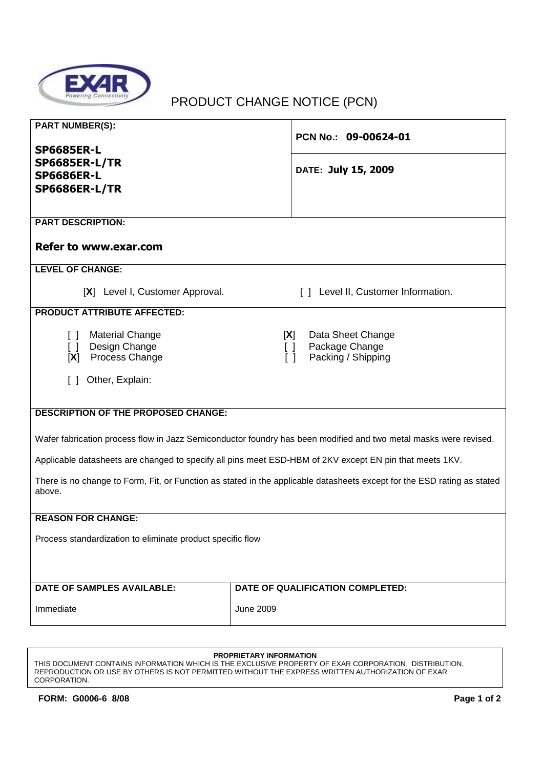

# PRODUCT CHANGE NOTICE (PCN)

| <b>PART NUMBER(S):</b>                                                                                                                     | PCN No.: 09-00624-01                                                                                      |  |  |  |  |
|--------------------------------------------------------------------------------------------------------------------------------------------|-----------------------------------------------------------------------------------------------------------|--|--|--|--|
| <b>SP6685ER-L</b><br><b>SP6685ER-L/TR</b><br><b>SP6686ER-L</b><br><b>SP6686ER-L/TR</b>                                                     | DATE: July 15, 2009                                                                                       |  |  |  |  |
| <b>PART DESCRIPTION:</b><br><b>Refer to www.exar.com</b>                                                                                   |                                                                                                           |  |  |  |  |
| <b>LEVEL OF CHANGE:</b>                                                                                                                    |                                                                                                           |  |  |  |  |
| [X] Level I, Customer Approval.                                                                                                            | [] Level II, Customer Information.                                                                        |  |  |  |  |
| <b>PRODUCT ATTRIBUTE AFFECTED:</b>                                                                                                         |                                                                                                           |  |  |  |  |
| <b>Material Change</b><br>$\Box$<br>Design Change<br>$\begin{bmatrix} \end{bmatrix}$<br>Process Change<br>[X]<br>Other, Explain:<br>$\Box$ | Data Sheet Change<br>[X]<br>Package Change<br>$\begin{bmatrix} \end{bmatrix}$<br>Packing / Shipping<br>ΓI |  |  |  |  |
| <b>DESCRIPTION OF THE PROPOSED CHANGE:</b>                                                                                                 |                                                                                                           |  |  |  |  |
| Wafer fabrication process flow in Jazz Semiconductor foundry has been modified and two metal masks were revised.                           |                                                                                                           |  |  |  |  |
| Applicable datasheets are changed to specify all pins meet ESD-HBM of 2KV except EN pin that meets 1KV.                                    |                                                                                                           |  |  |  |  |
| There is no change to Form, Fit, or Function as stated in the applicable datasheets except for the ESD rating as stated<br>above.          |                                                                                                           |  |  |  |  |
| <b>REASON FOR CHANGE:</b>                                                                                                                  |                                                                                                           |  |  |  |  |
| Process standardization to eliminate product specific flow                                                                                 |                                                                                                           |  |  |  |  |
| <b>DATE OF SAMPLES AVAILABLE:</b>                                                                                                          | DATE OF QUALIFICATION COMPLETED:                                                                          |  |  |  |  |
| Immediate                                                                                                                                  | <b>June 2009</b>                                                                                          |  |  |  |  |

#### **PROPRIETARY INFORMATION**

THIS DOCUMENT CONTAINS INFORMATION WHICH IS THE EXCLUSIVE PROPERTY OF EXAR CORPORATION. DISTRIBUTION, REPRODUCTION OR USE BY OTHERS IS NOT PERMITTED WITHOUT THE EXPRESS WRITTEN AUTHORIZATION OF EXAR CORPORATION.